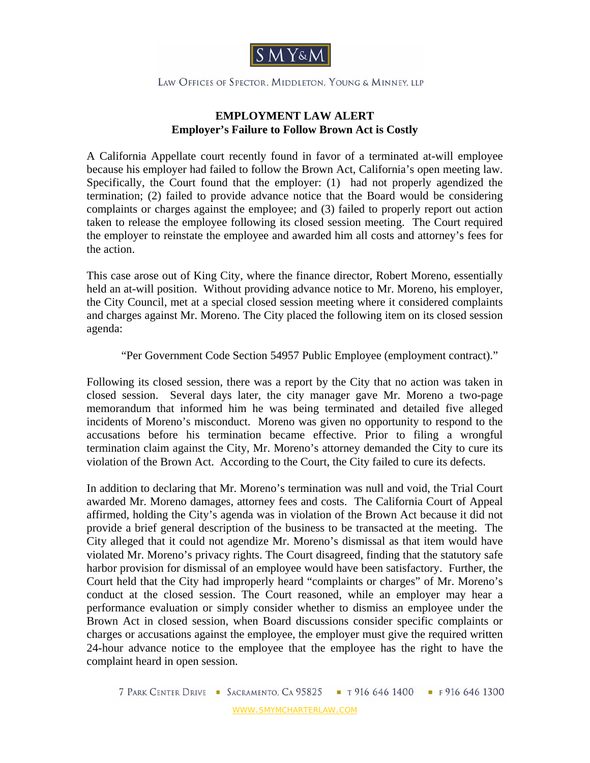

LAW OFFICES OF SPECTOR, MIDDLETON, YOUNG & MINNEY, LLP

## **EMPLOYMENT LAW ALERT Employer's Failure to Follow Brown Act is Costly**

A California Appellate court recently found in favor of a terminated at-will employee because his employer had failed to follow the Brown Act, California's open meeting law. Specifically, the Court found that the employer: (1) had not properly agendized the termination; (2) failed to provide advance notice that the Board would be considering complaints or charges against the employee; and (3) failed to properly report out action taken to release the employee following its closed session meeting. The Court required the employer to reinstate the employee and awarded him all costs and attorney's fees for the action.

This case arose out of King City, where the finance director, Robert Moreno, essentially held an at-will position. Without providing advance notice to Mr. Moreno, his employer, the City Council, met at a special closed session meeting where it considered complaints and charges against Mr. Moreno. The City placed the following item on its closed session agenda:

"Per Government Code Section 54957 Public Employee (employment contract)."

Following its closed session, there was a report by the City that no action was taken in closed session. Several days later, the city manager gave Mr. Moreno a two-page memorandum that informed him he was being terminated and detailed five alleged incidents of Moreno's misconduct. Moreno was given no opportunity to respond to the accusations before his termination became effective. Prior to filing a wrongful termination claim against the City, Mr. Moreno's attorney demanded the City to cure its violation of the Brown Act. According to the Court, the City failed to cure its defects.

In addition to declaring that Mr. Moreno's termination was null and void, the Trial Court awarded Mr. Moreno damages, attorney fees and costs. The California Court of Appeal affirmed, holding the City's agenda was in violation of the Brown Act because it did not provide a brief general description of the business to be transacted at the meeting. The City alleged that it could not agendize Mr. Moreno's dismissal as that item would have violated Mr. Moreno's privacy rights. The Court disagreed, finding that the statutory safe harbor provision for dismissal of an employee would have been satisfactory. Further, the Court held that the City had improperly heard "complaints or charges" of Mr. Moreno's conduct at the closed session. The Court reasoned, while an employer may hear a performance evaluation or simply consider whether to dismiss an employee under the Brown Act in closed session, when Board discussions consider specific complaints or charges or accusations against the employee, the employer must give the required written 24-hour advance notice to the employee that the employee has the right to have the complaint heard in open session.